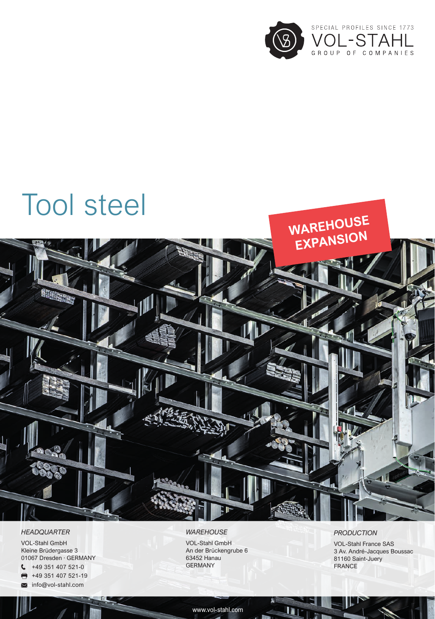

# Tool steel



#### *HEADQUARTER*

VOL-Stahl GmbH Kleine Brüdergasse 3 01067 Dresden · GERMANY

- $\binom{49}{49}$  351 407 521-0
- $\blacksquare$ +49 351 407 521-19
- **M** info@vol-stahl.com

## *WAREHOUSE*

VOL-Stahl GmbH An der Brückengrube 6 63452 Hanau GERMANY

## *PRODUCTION*

VOL-Stahl France SAS 3 Av. André-Jacques Boussac 81160 Saint-Juery FRANCE

www.vol-stahl.com

n